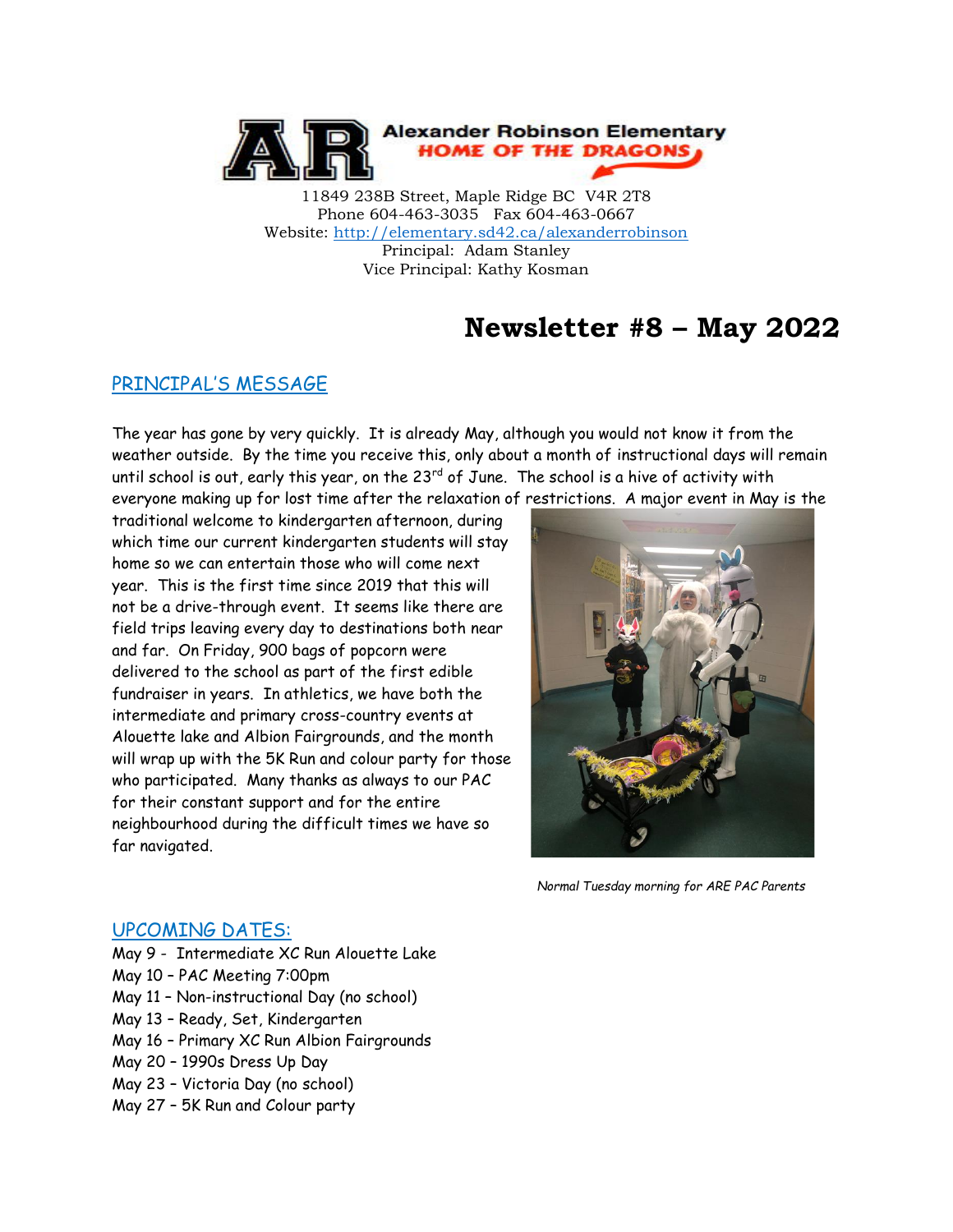

11849 238B Street, Maple Ridge BC V4R 2T8 Phone 604-463-3035 Fax 604-463-0667 Website:<http://elementary.sd42.ca/alexanderrobinson> Principal: Adam Stanley Vice Principal: Kathy Kosman

# **Newsletter #8 – May 2022**

### PRINCIPAL'S MESSAGE

The year has gone by very quickly. It is already May, although you would not know it from the weather outside. By the time you receive this, only about a month of instructional days will remain until school is out, early this year, on the 23<sup>rd</sup> of June. The school is a hive of activity with everyone making up for lost time after the relaxation of restrictions. A major event in May is the

traditional welcome to kindergarten afternoon, during which time our current kindergarten students will stay home so we can entertain those who will come next year. This is the first time since 2019 that this will not be a drive-through event. It seems like there are field trips leaving every day to destinations both near and far. On Friday, 900 bags of popcorn were delivered to the school as part of the first edible fundraiser in years. In athletics, we have both the intermediate and primary cross-country events at Alouette lake and Albion Fairgrounds, and the month will wrap up with the 5K Run and colour party for those who participated. Many thanks as always to our PAC for their constant support and for the entire neighbourhood during the difficult times we have so far navigated.



*Normal Tuesday morning for ARE PAC Parents*

### UPCOMING DATES:

- May 9 Intermediate XC Run Alouette Lake
- May 10 PAC Meeting 7:00pm
- May 11 Non-instructional Day (no school)
- May 13 Ready, Set, Kindergarten
- May 16 Primary XC Run Albion Fairgrounds
- May 20 1990s Dress Up Day
- May 23 Victoria Day (no school)
- May 27 5K Run and Colour party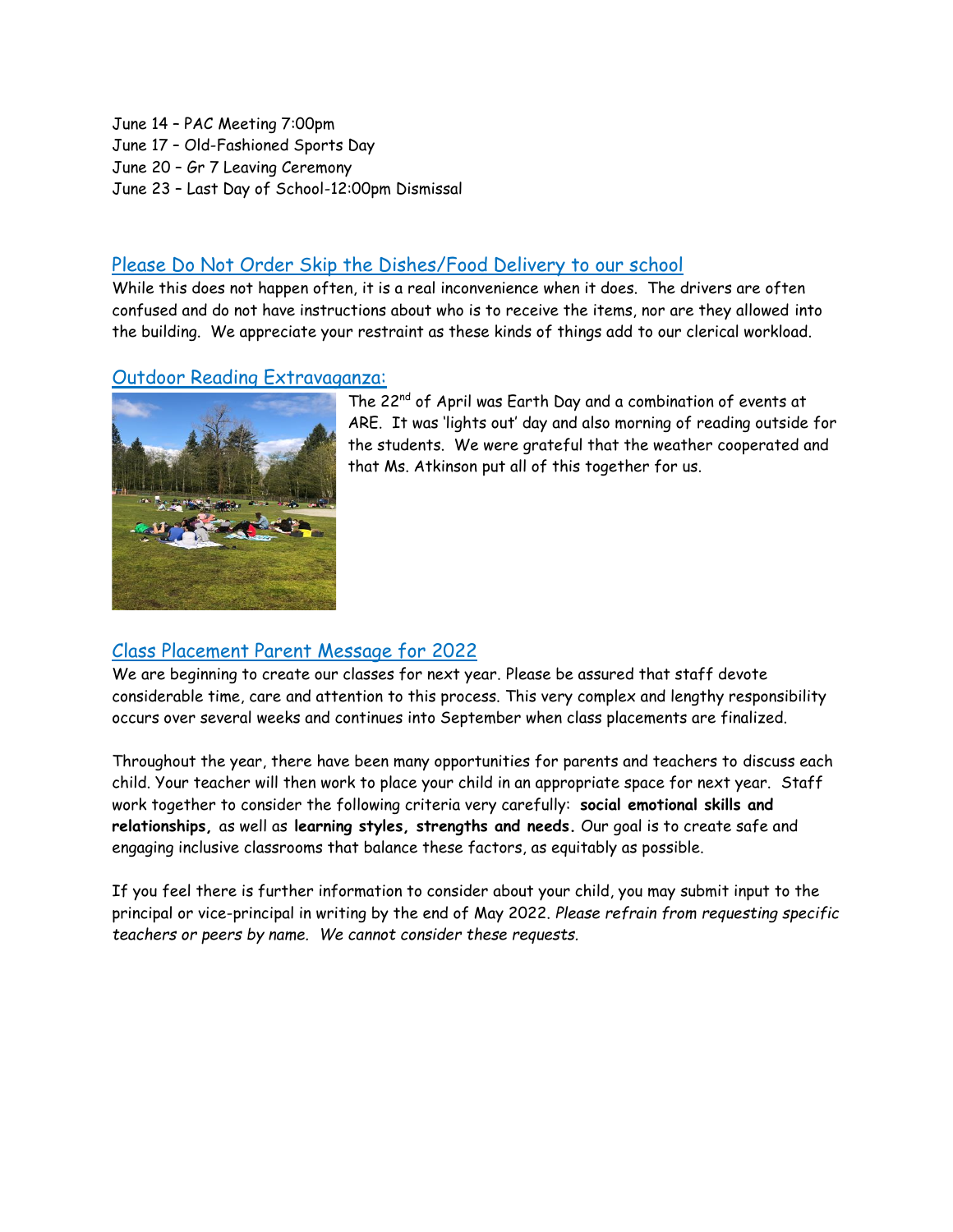June 14 – PAC Meeting 7:00pm June 17 – Old-Fashioned Sports Day June 20 – Gr 7 Leaving Ceremony June 23 – Last Day of School-12:00pm Dismissal

### Please Do Not Order Skip the Dishes/Food Delivery to our school

While this does not happen often, it is a real inconvenience when it does. The drivers are often confused and do not have instructions about who is to receive the items, nor are they allowed into the building. We appreciate your restraint as these kinds of things add to our clerical workload.

### Outdoor Reading Extravaganza:



The 22<sup>nd</sup> of April was Earth Day and a combination of events at ARE. It was 'lights out' day and also morning of reading outside for the students. We were grateful that the weather cooperated and that Ms. Atkinson put all of this together for us.

### Class Placement Parent Message for 2022

We are beginning to create our classes for next year. Please be assured that staff devote considerable time, care and attention to this process. This very complex and lengthy responsibility occurs over several weeks and continues into September when class placements are finalized.

Throughout the year, there have been many opportunities for parents and teachers to discuss each child. Your teacher will then work to place your child in an appropriate space for next year. Staff work together to consider the following criteria very carefully: **social emotional skills and relationships,** as well as **learning styles, strengths and needs.** Our goal is to create safe and engaging inclusive classrooms that balance these factors, as equitably as possible.

If you feel there is further information to consider about your child, you may submit input to the principal or vice-principal in writing by the end of May 2022. *Please refrain from requesting specific teachers or peers by name. We cannot consider these requests.*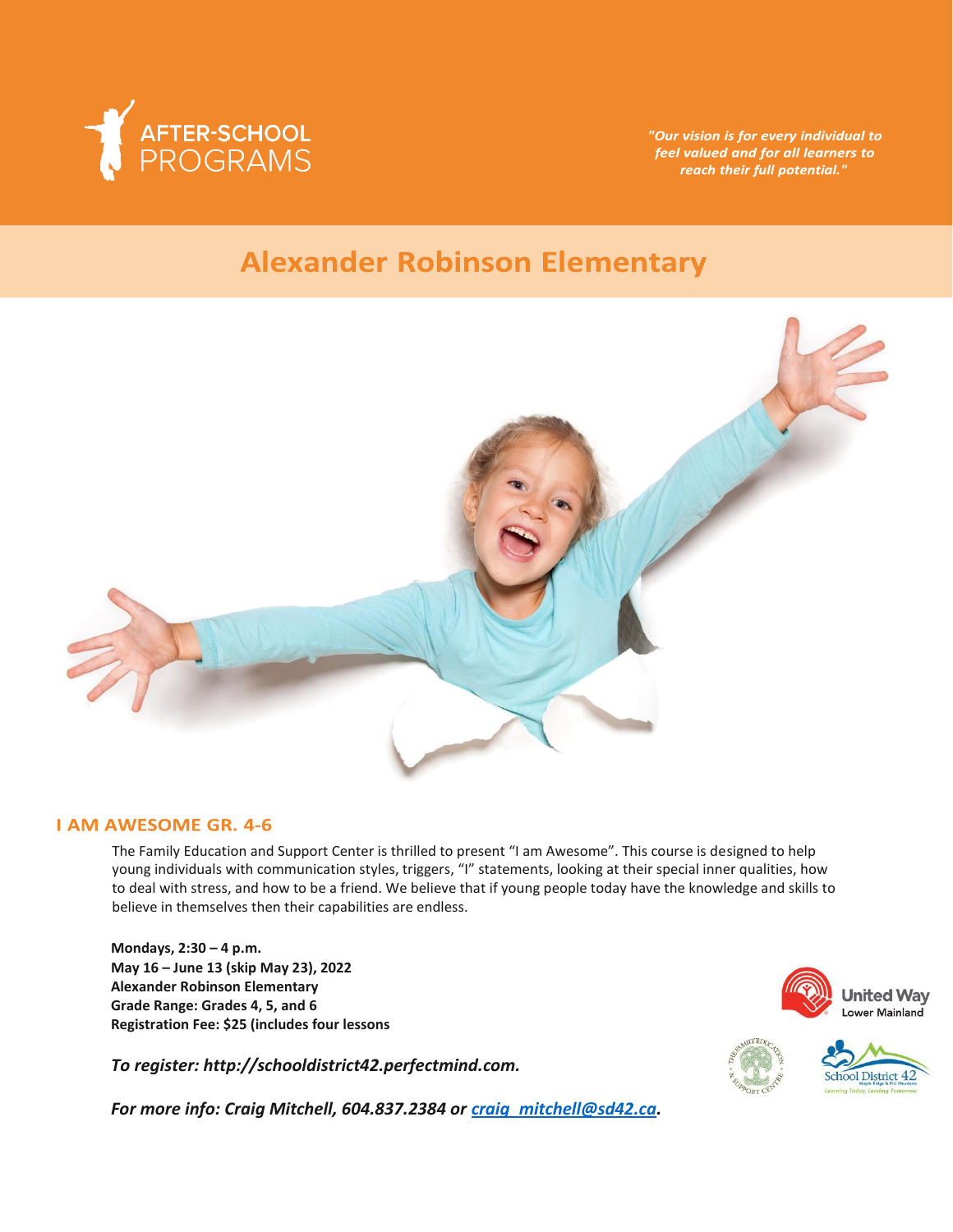

"Our vision is for every individual to feel valued and for all learners to reach their full potential."

# **Alexander Robinson Elementary**



#### **I AM AWESOME GR. 4-6**

The Family Education and Support Center is thrilled to present "I am Awesome". This course is designed to help young individuals with communication styles, triggers, "I" statements, looking at their special inner qualities, how to deal with stress, and how to be a friend. We believe that if young people today have the knowledge and skills to believe in themselves then their capabilities are endless.

**Mondays, 2:30 – 4 p.m. May 16 – June 13 (skip May 23), 2022 Alexander Robinson Elementary Grade Range: Grades 4, 5, and 6 Registration Fee: \$25 (includes four lessons**

*To register: http://schooldistrict42.perfectmind.com.* 

*For more info: Craig Mitchell, 604.837.2384 or [craig\\_mitchell@sd42.ca.](mailto:craig_mitchell@sd42.ca)*



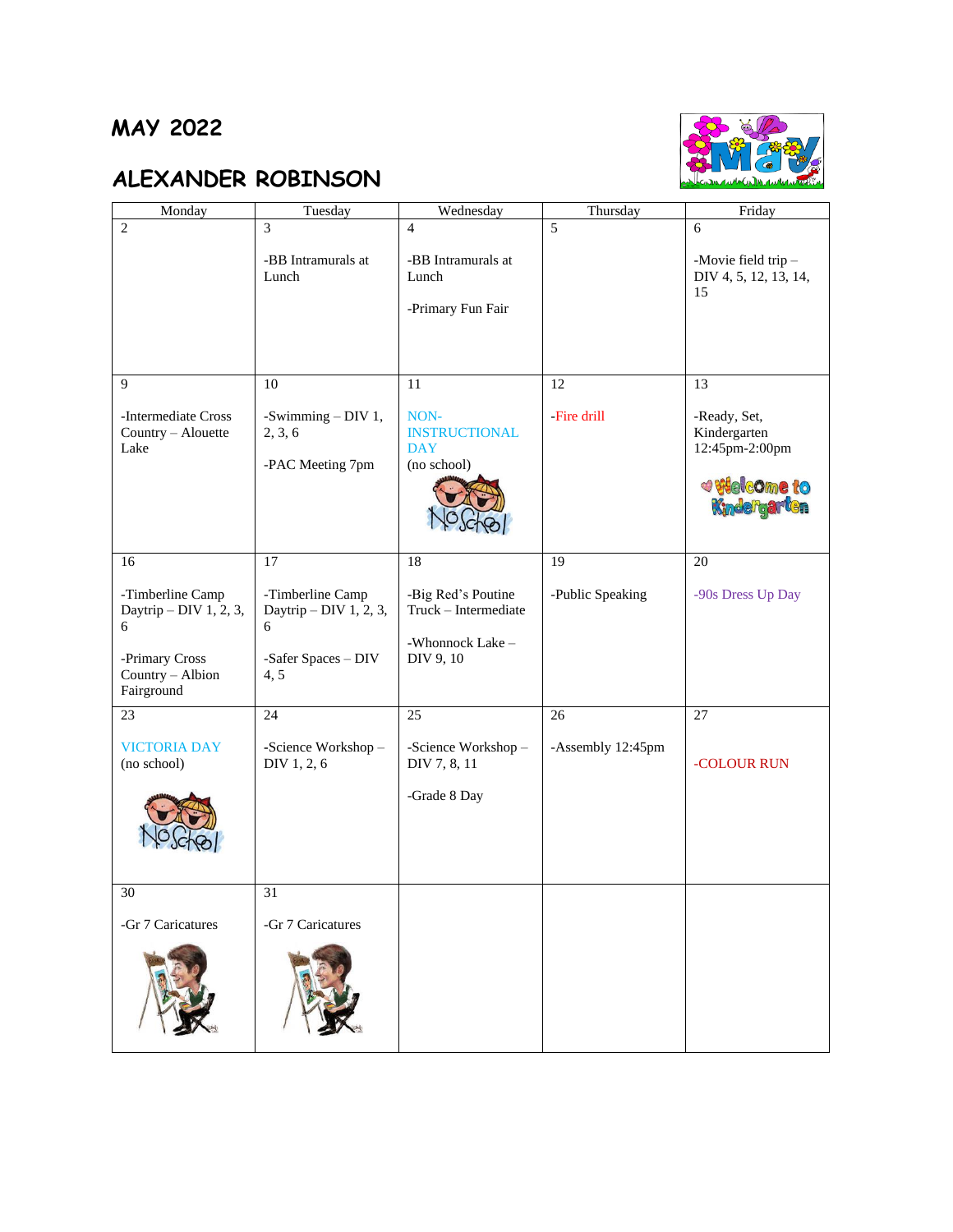### **MAY 2022**

# **ALEXANDER ROBINSON**



| Monday                         | Tuesday                | Wednesday                          | Thursday          | Friday                                  |
|--------------------------------|------------------------|------------------------------------|-------------------|-----------------------------------------|
| $\overline{2}$                 | 3                      | $\overline{4}$                     | $\overline{5}$    | 6                                       |
|                                | -BB Intramurals at     | -BB Intramurals at                 |                   | -Movie field trip-                      |
|                                | Lunch                  | Lunch                              |                   | DIV 4, 5, 12, 13, 14,                   |
|                                |                        | -Primary Fun Fair                  |                   | 15                                      |
|                                |                        |                                    |                   |                                         |
|                                |                        |                                    |                   |                                         |
|                                |                        |                                    |                   |                                         |
| 9                              | 10                     | 11                                 | 12                | 13                                      |
| -Intermediate Cross            | -Swimming $-$ DIV 1,   | NON-                               | -Fire drill       | -Ready, Set,                            |
| Country - Alouette<br>Lake     | 2, 3, 6                | <b>INSTRUCTIONAL</b><br><b>DAY</b> |                   | Kindergarten<br>12:45pm-2:00pm          |
|                                | -PAC Meeting 7pm       | (no school)                        |                   |                                         |
|                                |                        |                                    |                   | <b><i>e</i></b> Welcome to Kindergarten |
|                                |                        |                                    |                   |                                         |
|                                |                        |                                    |                   |                                         |
| 16                             | 17                     | 18                                 | 19                | 20                                      |
| -Timberline Camp               | -Timberline Camp       | -Big Red's Poutine                 | -Public Speaking  | -90s Dress Up Day                       |
| Daytrip - DIV 1, 2, 3,         | Daytrip - DIV 1, 2, 3, | Truck - Intermediate               |                   |                                         |
| 6                              | 6                      | -Whonnock Lake -                   |                   |                                         |
| -Primary Cross                 | -Safer Spaces - DIV    | DIV 9, 10                          |                   |                                         |
| Country - Albion<br>Fairground | 4, 5                   |                                    |                   |                                         |
| 23                             | 24                     | 25                                 | 26                | 27                                      |
|                                |                        |                                    |                   |                                         |
| <b>VICTORIA DAY</b>            | -Science Workshop-     | -Science Workshop-                 | -Assembly 12:45pm |                                         |
| (no school)                    | DIV 1, 2, 6            | DIV 7, 8, 11                       |                   | -COLOUR RUN                             |
|                                |                        | -Grade 8 Day                       |                   |                                         |
|                                |                        |                                    |                   |                                         |
|                                |                        |                                    |                   |                                         |
|                                |                        |                                    |                   |                                         |
| 30                             | 31                     |                                    |                   |                                         |
| -Gr 7 Caricatures              | -Gr 7 Caricatures      |                                    |                   |                                         |
|                                |                        |                                    |                   |                                         |
|                                |                        |                                    |                   |                                         |
|                                |                        |                                    |                   |                                         |
|                                |                        |                                    |                   |                                         |
|                                |                        |                                    |                   |                                         |